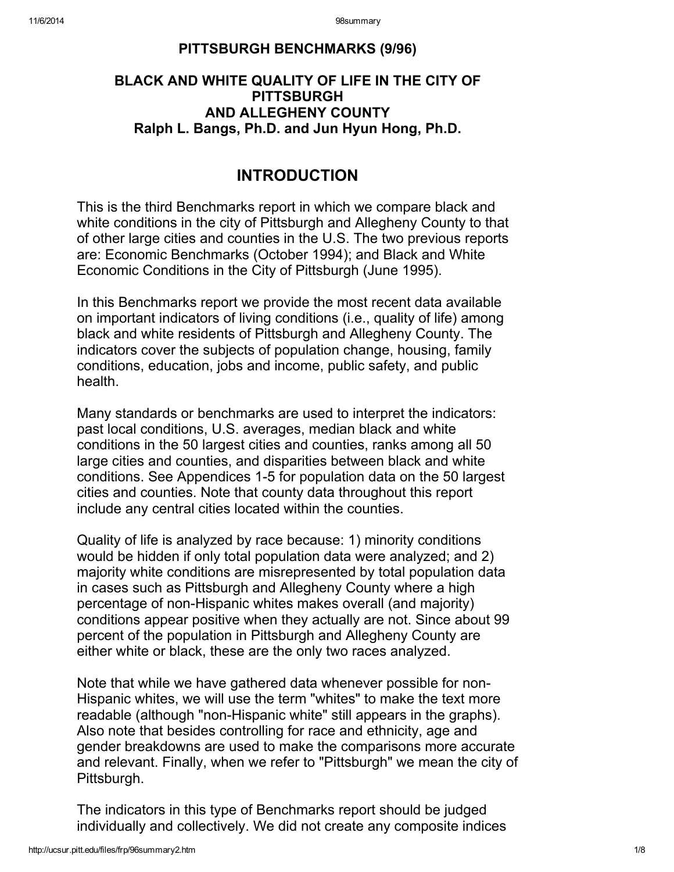### PITTSBURGH BENCHMARKS (9/96)

## BLACK AND WHITE QUALITY OF LIFE IN THE CITY OF **PITTSBURGH** AND ALLEGHENY COUNTY Ralph L. Bangs, Ph.D. and Jun Hyun Hong, Ph.D.

## INTRODUCTION

This is the third Benchmarks report in which we compare black and white conditions in the city of Pittsburgh and Allegheny County to that of other large cities and counties in the U.S. The two previous reports are: Economic Benchmarks (October 1994); and Black and White Economic Conditions in the City of Pittsburgh (June 1995).

In this Benchmarks report we provide the most recent data available on important indicators of living conditions (i.e., quality of life) among black and white residents of Pittsburgh and Allegheny County. The indicators cover the subjects of population change, housing, family conditions, education, jobs and income, public safety, and public health.

Many standards or benchmarks are used to interpret the indicators: past local conditions, U.S. averages, median black and white conditions in the 50 largest cities and counties, ranks among all 50 large cities and counties, and disparities between black and white conditions. See Appendices 1-5 for population data on the 50 largest cities and counties. Note that county data throughout this report include any central cities located within the counties.

Quality of life is analyzed by race because: 1) minority conditions would be hidden if only total population data were analyzed; and 2) majority white conditions are misrepresented by total population data in cases such as Pittsburgh and Allegheny County where a high percentage of non-Hispanic whites makes overall (and majority) conditions appear positive when they actually are not. Since about 99 percent of the population in Pittsburgh and Allegheny County are either white or black, these are the only two races analyzed.

Note that while we have gathered data whenever possible for non-Hispanic whites, we will use the term "whites" to make the text more readable (although "non-Hispanic white" still appears in the graphs). Also note that besides controlling for race and ethnicity, age and gender breakdowns are used to make the comparisons more accurate and relevant. Finally, when we refer to "Pittsburgh" we mean the city of Pittsburgh.

The indicators in this type of Benchmarks report should be judged individually and collectively. We did not create any composite indices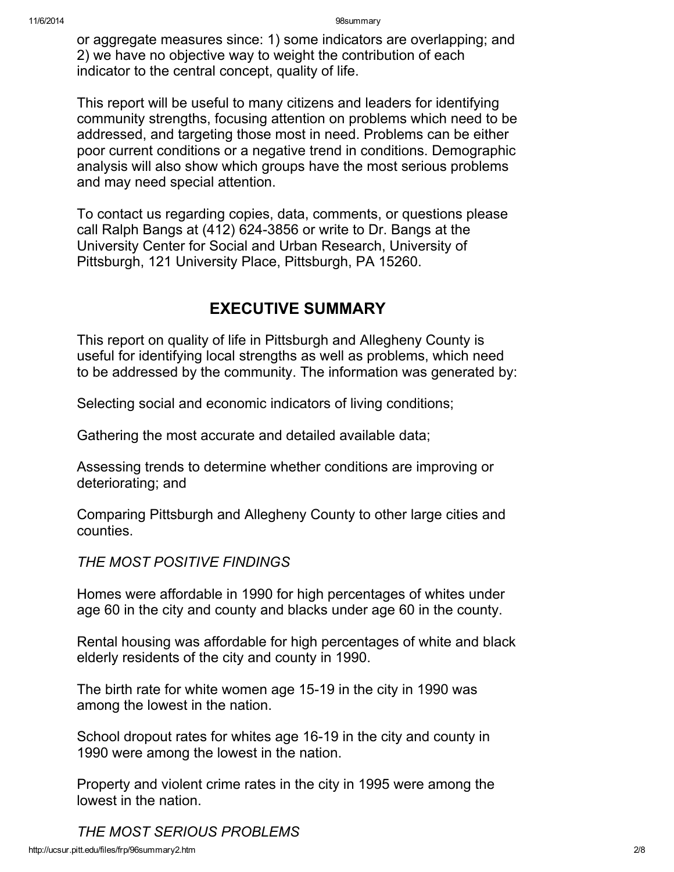or aggregate measures since: 1) some indicators are overlapping; and 2) we have no objective way to weight the contribution of each indicator to the central concept, quality of life.

This report will be useful to many citizens and leaders for identifying community strengths, focusing attention on problems which need to be addressed, and targeting those most in need. Problems can be either poor current conditions or a negative trend in conditions. Demographic analysis will also show which groups have the most serious problems and may need special attention.

To contact us regarding copies, data, comments, or questions please call Ralph Bangs at (412) 624-3856 or write to Dr. Bangs at the University Center for Social and Urban Research, University of Pittsburgh, 121 University Place, Pittsburgh, PA 15260.

# EXECUTIVE SUMMARY

This report on quality of life in Pittsburgh and Allegheny County is useful for identifying local strengths as well as problems, which need to be addressed by the community. The information was generated by:

Selecting social and economic indicators of living conditions;

Gathering the most accurate and detailed available data;

Assessing trends to determine whether conditions are improving or deteriorating; and

Comparing Pittsburgh and Allegheny County to other large cities and counties.

*THE MOST POSITIVE FINDINGS*

Homes were affordable in 1990 for high percentages of whites under age 60 in the city and county and blacks under age 60 in the county.

Rental housing was affordable for high percentages of white and black elderly residents of the city and county in 1990.

The birth rate for white women age 15-19 in the city in 1990 was among the lowest in the nation.

School dropout rates for whites age 16-19 in the city and county in 1990 were among the lowest in the nation.

Property and violent crime rates in the city in 1995 were among the lowest in the nation.

http://ucsur.pitt.edu/files/frp/96summary2.htm 2/8 *THE MOST SERIOUS PROBLEMS*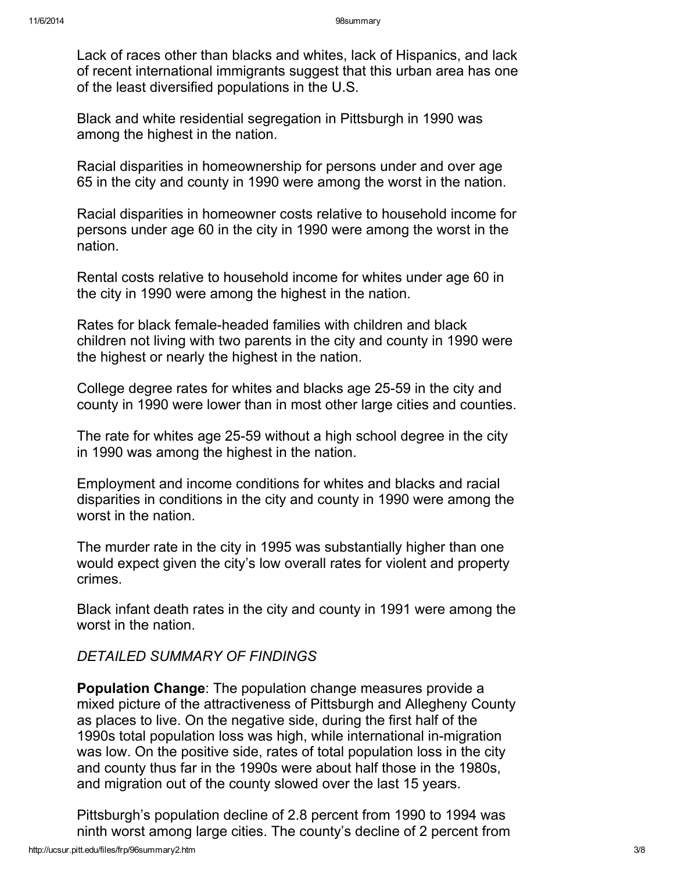Lack of races other than blacks and whites, lack of Hispanics, and lack of recent international immigrants suggest that this urban area has one of the least diversified populations in the U.S.

Black and white residential segregation in Pittsburgh in 1990 was among the highest in the nation.

Racial disparities in homeownership for persons under and over age 65 in the city and county in 1990 were among the worst in the nation.

Racial disparities in homeowner costs relative to household income for persons under age 60 in the city in 1990 were among the worst in the nation.

Rental costs relative to household income for whites under age 60 in the city in 1990 were among the highest in the nation.

Rates for black female-headed families with children and black children not living with two parents in the city and county in 1990 were the highest or nearly the highest in the nation.

College degree rates for whites and blacks age 25-59 in the city and county in 1990 were lower than in most other large cities and counties.

The rate for whites age 25-59 without a high school degree in the city in 1990 was among the highest in the nation.

Employment and income conditions for whites and blacks and racial disparities in conditions in the city and county in 1990 were among the worst in the nation.

The murder rate in the city in 1995 was substantially higher than one would expect given the city's low overall rates for violent and property crimes.

Black infant death rates in the city and county in 1991 were among the worst in the nation.

## *DETAILED SUMMARY OF FINDINGS*

Population Change: The population change measures provide a mixed picture of the attractiveness of Pittsburgh and Allegheny County as places to live. On the negative side, during the first half of the 1990s total population loss was high, while international in-migration was low. On the positive side, rates of total population loss in the city and county thus far in the 1990s were about half those in the 1980s, and migration out of the county slowed over the last 15 years.

Pittsburgh's population decline of 2.8 percent from 1990 to 1994 was ninth worst among large cities. The county's decline of 2 percent from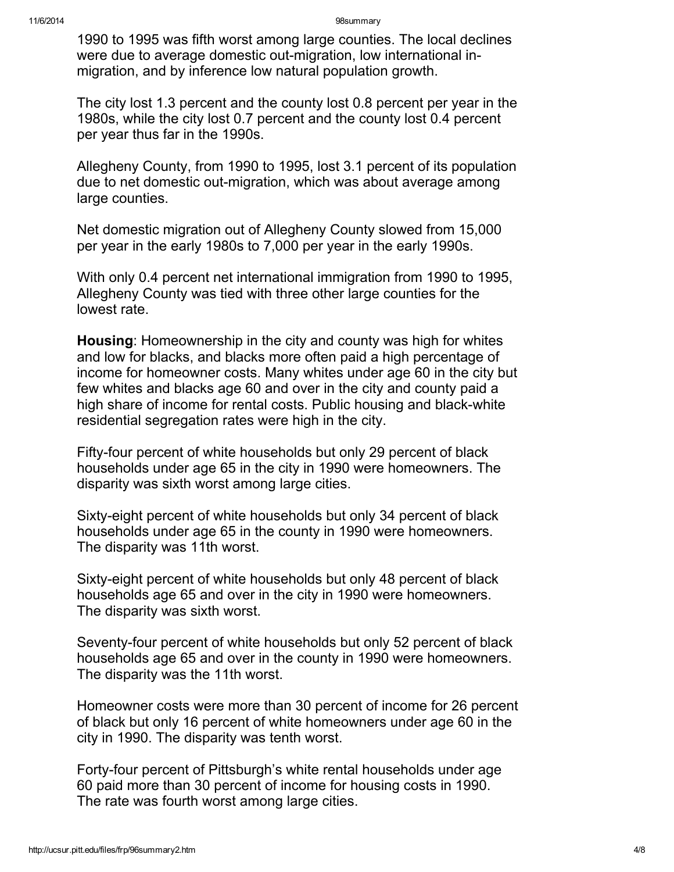1990 to 1995 was fifth worst among large counties. The local declines were due to average domestic out-migration, low international inmigration, and by inference low natural population growth.

The city lost 1.3 percent and the county lost 0.8 percent per year in the 1980s, while the city lost 0.7 percent and the county lost 0.4 percent per year thus far in the 1990s.

Allegheny County, from 1990 to 1995, lost 3.1 percent of its population due to net domestic out-migration, which was about average among large counties.

Net domestic migration out of Allegheny County slowed from 15,000 per year in the early 1980s to 7,000 per year in the early 1990s.

With only 0.4 percent net international immigration from 1990 to 1995, Allegheny County was tied with three other large counties for the lowest rate.

Housing: Homeownership in the city and county was high for whites and low for blacks, and blacks more often paid a high percentage of income for homeowner costs. Many whites under age 60 in the city but few whites and blacks age 60 and over in the city and county paid a high share of income for rental costs. Public housing and black-white residential segregation rates were high in the city.

Fifty-four percent of white households but only 29 percent of black households under age 65 in the city in 1990 were homeowners. The disparity was sixth worst among large cities.

Sixty-eight percent of white households but only 34 percent of black households under age 65 in the county in 1990 were homeowners. The disparity was 11th worst.

Sixty-eight percent of white households but only 48 percent of black households age 65 and over in the city in 1990 were homeowners. The disparity was sixth worst.

Seventy-four percent of white households but only 52 percent of black households age 65 and over in the county in 1990 were homeowners. The disparity was the 11th worst.

Homeowner costs were more than 30 percent of income for 26 percent of black but only 16 percent of white homeowners under age 60 in the city in 1990. The disparity was tenth worst.

Forty-four percent of Pittsburgh's white rental households under age 60 paid more than 30 percent of income for housing costs in 1990. The rate was fourth worst among large cities.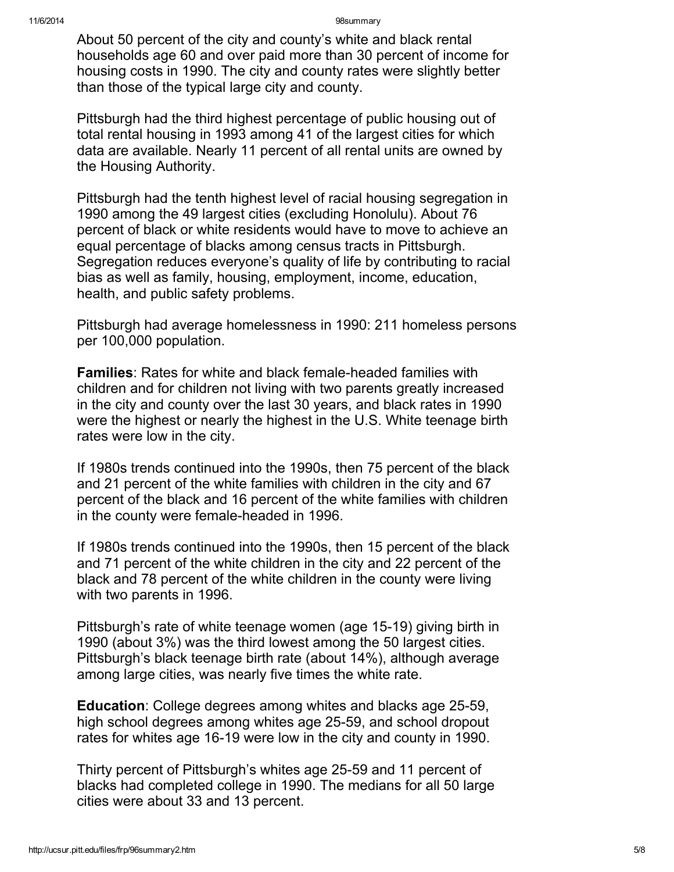About 50 percent of the city and county's white and black rental households age 60 and over paid more than 30 percent of income for housing costs in 1990. The city and county rates were slightly better than those of the typical large city and county.

Pittsburgh had the third highest percentage of public housing out of total rental housing in 1993 among 41 of the largest cities for which data are available. Nearly 11 percent of all rental units are owned by the Housing Authority.

Pittsburgh had the tenth highest level of racial housing segregation in 1990 among the 49 largest cities (excluding Honolulu). About 76 percent of black or white residents would have to move to achieve an equal percentage of blacks among census tracts in Pittsburgh. Segregation reduces everyone's quality of life by contributing to racial bias as well as family, housing, employment, income, education, health, and public safety problems.

Pittsburgh had average homelessness in 1990: 211 homeless persons per 100,000 population.

Families: Rates for white and black female-headed families with children and for children not living with two parents greatly increased in the city and county over the last 30 years, and black rates in 1990 were the highest or nearly the highest in the U.S. White teenage birth rates were low in the city.

If 1980s trends continued into the 1990s, then 75 percent of the black and 21 percent of the white families with children in the city and 67 percent of the black and 16 percent of the white families with children in the county were female-headed in 1996.

If 1980s trends continued into the 1990s, then 15 percent of the black and 71 percent of the white children in the city and 22 percent of the black and 78 percent of the white children in the county were living with two parents in 1996.

Pittsburgh's rate of white teenage women (age 15-19) giving birth in 1990 (about 3%) was the third lowest among the 50 largest cities. Pittsburgh's black teenage birth rate (about 14%), although average among large cities, was nearly five times the white rate.

Education: College degrees among whites and blacks age 25-59, high school degrees among whites age 25-59, and school dropout rates for whites age 16-19 were low in the city and county in 1990.

Thirty percent of Pittsburgh's whites age 25-59 and 11 percent of blacks had completed college in 1990. The medians for all 50 large cities were about 33 and 13 percent.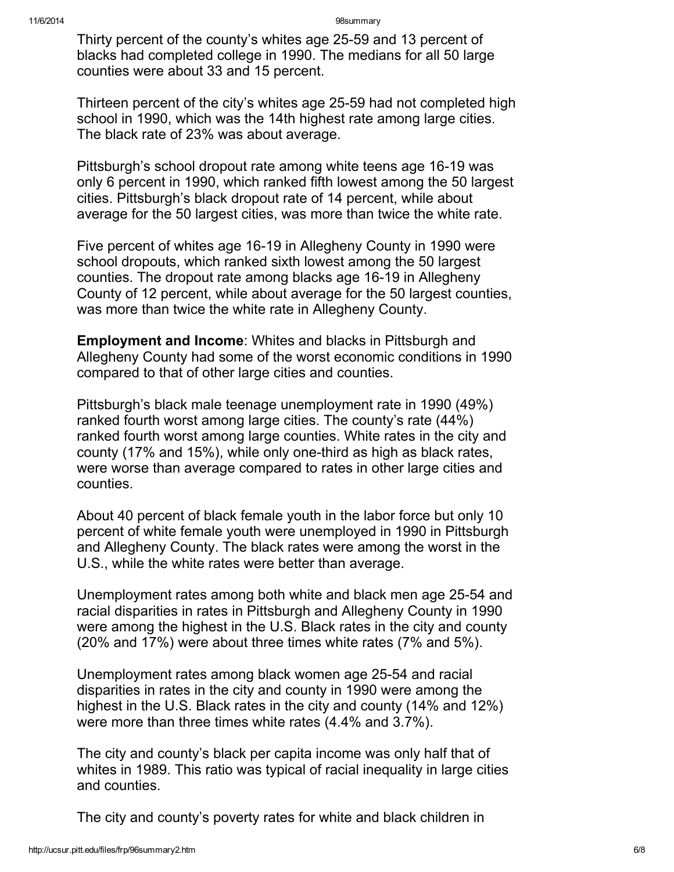Thirty percent of the county's whites age 25-59 and 13 percent of blacks had completed college in 1990. The medians for all 50 large counties were about 33 and 15 percent.

Thirteen percent of the city's whites age 25-59 had not completed high school in 1990, which was the 14th highest rate among large cities. The black rate of 23% was about average.

Pittsburgh's school dropout rate among white teens age 16-19 was only 6 percent in 1990, which ranked fifth lowest among the 50 largest cities. Pittsburgh's black dropout rate of 14 percent, while about average for the 50 largest cities, was more than twice the white rate.

Five percent of whites age 16-19 in Allegheny County in 1990 were school dropouts, which ranked sixth lowest among the 50 largest counties. The dropout rate among blacks age 16-19 in Allegheny County of 12 percent, while about average for the 50 largest counties, was more than twice the white rate in Allegheny County.

Employment and Income: Whites and blacks in Pittsburgh and Allegheny County had some of the worst economic conditions in 1990 compared to that of other large cities and counties.

Pittsburgh's black male teenage unemployment rate in 1990 (49%) ranked fourth worst among large cities. The county's rate (44%) ranked fourth worst among large counties. White rates in the city and county (17% and 15%), while only one-third as high as black rates, were worse than average compared to rates in other large cities and counties.

About 40 percent of black female youth in the labor force but only 10 percent of white female youth were unemployed in 1990 in Pittsburgh and Allegheny County. The black rates were among the worst in the U.S., while the white rates were better than average.

Unemployment rates among both white and black men age 25-54 and racial disparities in rates in Pittsburgh and Allegheny County in 1990 were among the highest in the U.S. Black rates in the city and county (20% and 17%) were about three times white rates (7% and 5%).

Unemployment rates among black women age 25-54 and racial disparities in rates in the city and county in 1990 were among the highest in the U.S. Black rates in the city and county (14% and 12%) were more than three times white rates (4.4% and 3.7%).

The city and county's black per capita income was only half that of whites in 1989. This ratio was typical of racial inequality in large cities and counties.

The city and county's poverty rates for white and black children in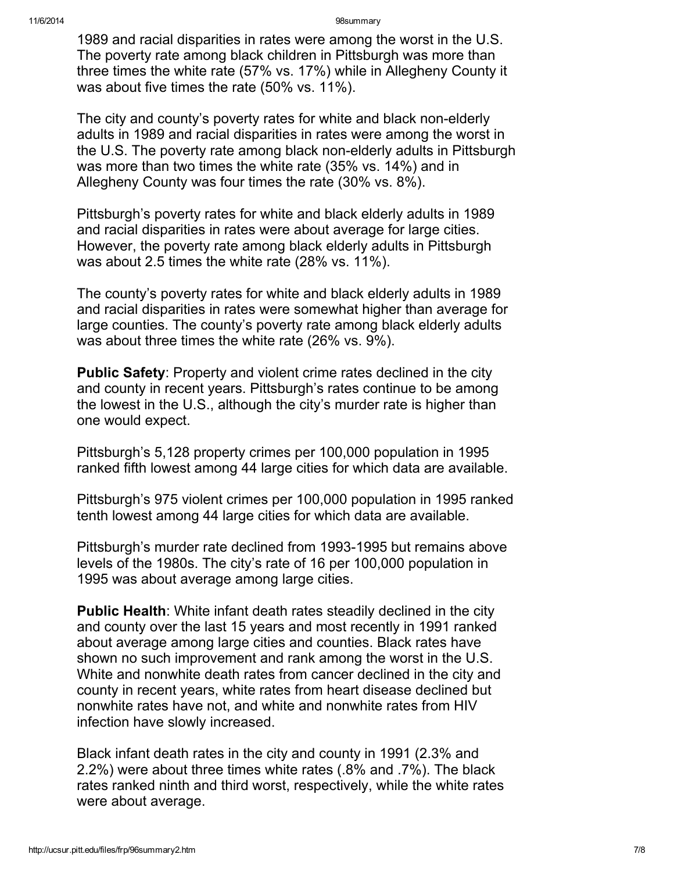1989 and racial disparities in rates were among the worst in the U.S. The poverty rate among black children in Pittsburgh was more than three times the white rate (57% vs. 17%) while in Allegheny County it was about five times the rate (50% vs. 11%).

The city and county's poverty rates for white and black non-elderly adults in 1989 and racial disparities in rates were among the worst in the U.S. The poverty rate among black non-elderly adults in Pittsburgh was more than two times the white rate (35% vs. 14%) and in Allegheny County was four times the rate (30% vs. 8%).

Pittsburgh's poverty rates for white and black elderly adults in 1989 and racial disparities in rates were about average for large cities. However, the poverty rate among black elderly adults in Pittsburgh was about 2.5 times the white rate (28% vs. 11%).

The county's poverty rates for white and black elderly adults in 1989 and racial disparities in rates were somewhat higher than average for large counties. The county's poverty rate among black elderly adults was about three times the white rate (26% vs. 9%).

Public Safety: Property and violent crime rates declined in the city and county in recent years. Pittsburgh's rates continue to be among the lowest in the U.S., although the city's murder rate is higher than one would expect.

Pittsburgh's 5,128 property crimes per 100,000 population in 1995 ranked fifth lowest among 44 large cities for which data are available.

Pittsburgh's 975 violent crimes per 100,000 population in 1995 ranked tenth lowest among 44 large cities for which data are available.

Pittsburgh's murder rate declined from 1993-1995 but remains above levels of the 1980s. The city's rate of 16 per 100,000 population in 1995 was about average among large cities.

Public Health: White infant death rates steadily declined in the city and county over the last 15 years and most recently in 1991 ranked about average among large cities and counties. Black rates have shown no such improvement and rank among the worst in the U.S. White and nonwhite death rates from cancer declined in the city and county in recent years, white rates from heart disease declined but nonwhite rates have not, and white and nonwhite rates from HIV infection have slowly increased.

Black infant death rates in the city and county in 1991 (2.3% and 2.2%) were about three times white rates (.8% and .7%). The black rates ranked ninth and third worst, respectively, while the white rates were about average.